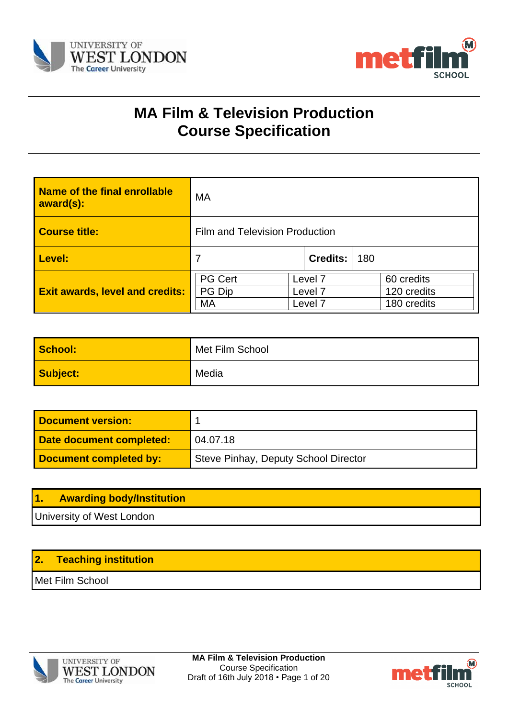



# **MA Film & Television Production Course Specification**

| <b>Name of the final enrollable</b><br>award(s): | MA                             |                    |                 |                           |  |
|--------------------------------------------------|--------------------------------|--------------------|-----------------|---------------------------|--|
| <b>Course title:</b>                             | Film and Television Production |                    |                 |                           |  |
| Level:                                           | $\overline{7}$                 |                    | <b>Credits:</b> | 180                       |  |
| <b>Exit awards, level and credits:</b>           | <b>PG Cert</b><br>PG Dip       | Level 7<br>Level 7 |                 | 60 credits<br>120 credits |  |
| MA<br>Level 7                                    |                                |                    | 180 credits     |                           |  |

| School:  | Met Film School |
|----------|-----------------|
| Subject: | Media           |

| <b>Document version:</b> |                                      |
|--------------------------|--------------------------------------|
| Date document completed: | 04.07.18                             |
| Document completed by:   | Steve Pinhay, Deputy School Director |

| <u> 1.</u> | <b>Awarding body/Institution</b> |
|------------|----------------------------------|
|            | University of West London        |

# **2. Teaching institution**

Met Film School



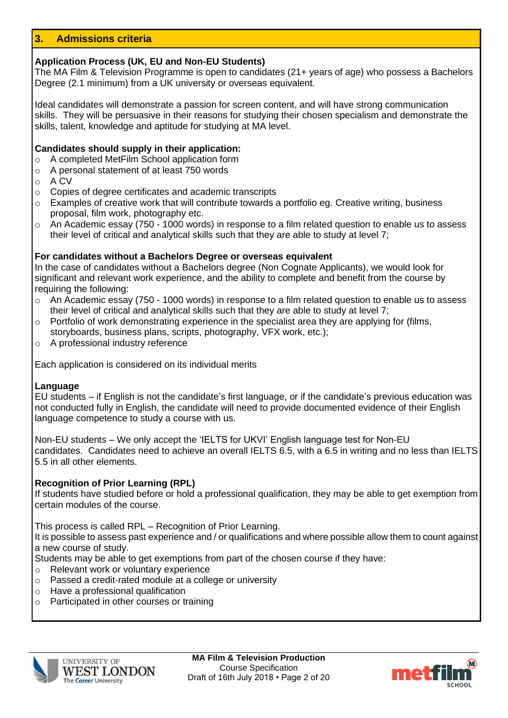# **3. Admissions criteria**

### **Application Process (UK, EU and Non-EU Students)**

The MA Film & Television Programme is open to candidates (21+ years of age) who possess a Bachelors Degree (2.1 minimum) from a UK university or overseas equivalent.

Ideal candidates will demonstrate a passion for screen content, and will have strong communication skills. They will be persuasive in their reasons for studying their chosen specialism and demonstrate the skills, talent, knowledge and aptitude for studying at MA level.

#### **Candidates should supply in their application:**

- o A completed MetFilm School application form
- o A personal statement of at least 750 words
- o A CV
- o Copies of degree certificates and academic transcripts
- $\circ$  Examples of creative work that will contribute towards a portfolio eq. Creative writing, business proposal, film work, photography etc.
- $\circ$  An Academic essay (750 1000 words) in response to a film related question to enable us to assess their level of critical and analytical skills such that they are able to study at level 7;

### **For candidates without a Bachelors Degree or overseas equivalent**

In the case of candidates without a Bachelors degree (Non Cognate Applicants), we would look for significant and relevant work experience, and the ability to complete and benefit from the course by requiring the following:

- o An Academic essay (750 1000 words) in response to a film related question to enable us to assess their level of critical and analytical skills such that they are able to study at level 7;
- o Portfolio of work demonstrating experience in the specialist area they are applying for (films, storyboards, business plans, scripts, photography, VFX work, etc.);
- o A professional industry reference

Each application is considered on its individual merits

#### **Language**

EU students – if English is not the candidate's first language, or if the candidate's previous education was not conducted fully in English, the candidate will need to provide documented evidence of their English language competence to study a course with us.

Non-EU students – We only accept the 'IELTS for UKVI' English language test for Non-EU candidates. Candidates need to achieve an overall IELTS 6.5, with a 6.5 in writing and no less than IELTS 5.5 in all other elements.

#### **Recognition of Prior Learning (RPL)**

If students have studied before or hold a professional qualification, they may be able to get exemption from certain modules of the course.

This process is called RPL – Recognition of Prior Learning.

It is possible to assess past experience and / or qualifications and where possible allow them to count against a new course of study.

Students may be able to get exemptions from part of the chosen course if they have:

- o Relevant work or voluntary experience
- o Passed a credit-rated module at a college or university
- o Have a professional qualification
- o Participated in other courses or training



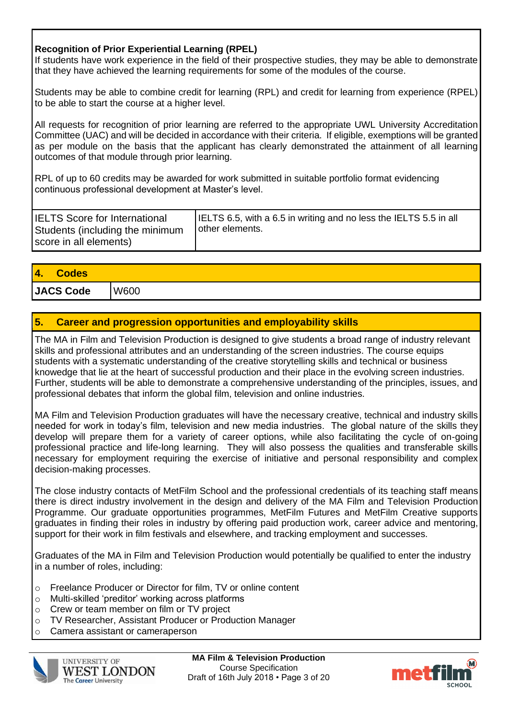# **Recognition of Prior Experiential Learning (RPEL)**

If students have work experience in the field of their prospective studies, they may be able to demonstrate that they have achieved the learning requirements for some of the modules of the course.

Students may be able to combine credit for learning (RPL) and credit for learning from experience (RPEL) to be able to start the course at a higher level.

All requests for recognition of prior learning are referred to the appropriate UWL University Accreditation Committee (UAC) and will be decided in accordance with their criteria. If eligible, exemptions will be granted as per module on the basis that the applicant has clearly demonstrated the attainment of all learning outcomes of that module through prior learning.

RPL of up to 60 credits may be awarded for work submitted in suitable portfolio format evidencing continuous professional development at Master's level.

| <b>IELTS Score for International</b><br>Students (including the minimum<br>score in all elements) | IELTS 6.5, with a 6.5 in writing and no less the IELTS 5.5 in all<br>other elements. |
|---------------------------------------------------------------------------------------------------|--------------------------------------------------------------------------------------|
|---------------------------------------------------------------------------------------------------|--------------------------------------------------------------------------------------|

| 4. Codes         |      |
|------------------|------|
| <b>JACS Code</b> | W600 |

# **5. Career and progression opportunities and employability skills**

The MA in Film and Television Production is designed to give students a broad range of industry relevant skills and professional attributes and an understanding of the screen industries. The course equips students with a systematic understanding of the creative storytelling skills and technical or business knowedge that lie at the heart of successful production and their place in the evolving screen industries. Further, students will be able to demonstrate a comprehensive understanding of the principles, issues, and professional debates that inform the global film, television and online industries.

MA Film and Television Production graduates will have the necessary creative, technical and industry skills needed for work in today's film, television and new media industries. The global nature of the skills they develop will prepare them for a variety of career options, while also facilitating the cycle of on-going professional practice and life-long learning. They will also possess the qualities and transferable skills necessary for employment requiring the exercise of initiative and personal responsibility and complex decision-making processes.

The close industry contacts of MetFilm School and the professional credentials of its teaching staff means there is direct industry involvement in the design and delivery of the MA Film and Television Production Programme. Our graduate opportunities programmes, MetFilm Futures and MetFilm Creative supports graduates in finding their roles in industry by offering paid production work, career advice and mentoring, support for their work in film festivals and elsewhere, and tracking employment and successes.

Graduates of the MA in Film and Television Production would potentially be qualified to enter the industry in a number of roles, including:

- o Freelance Producer or Director for film, TV or online content
- o Multi-skilled 'preditor' working across platforms
- o Crew or team member on film or TV project
- o TV Researcher, Assistant Producer or Production Manager
- o Camera assistant or cameraperson



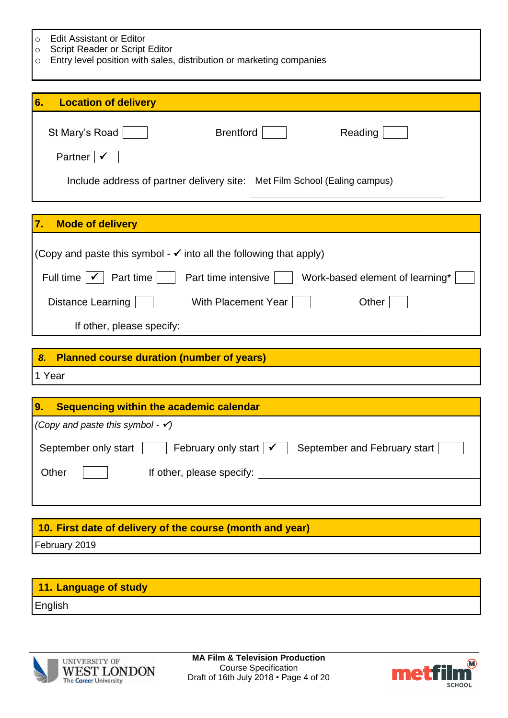| $\Omega$ |  | <b>Edit Assistant or Editor</b> |  |
|----------|--|---------------------------------|--|
|----------|--|---------------------------------|--|

J.

- o Script Reader or Script Editor
- o Entry level position with sales, distribution or marketing companies

| 6.<br><b>Location of delivery</b>                                                                        |
|----------------------------------------------------------------------------------------------------------|
| St Mary's Road<br><b>Brentford</b><br>Reading                                                            |
| Partner                                                                                                  |
| Include address of partner delivery site: Met Film School (Ealing campus)                                |
|                                                                                                          |
| <b>Mode of delivery</b><br>7.                                                                            |
| (Copy and paste this symbol - $\checkmark$ into all the following that apply)                            |
| Full time $ \mathcal{V} $<br>Part time    <br>Part time intensive    <br>Work-based element of learning* |
| Distance Learning<br>With Placement Year<br>Other                                                        |
| If other, please specify:                                                                                |
|                                                                                                          |
| 8. Planned course duration (number of years)                                                             |
| 1 Year                                                                                                   |
|                                                                                                          |
| Sequencing within the academic calendar<br>9.                                                            |
| (Copy and paste this symbol - $\checkmark$ )                                                             |
| February only start<br>September only start<br>September and February start                              |
| Other<br>If other, please specify:                                                                       |
|                                                                                                          |
|                                                                                                          |
| 10. First date of delivery of the course (month and year)                                                |
| February 2019                                                                                            |

| 11. Language of study |  |
|-----------------------|--|
| English               |  |



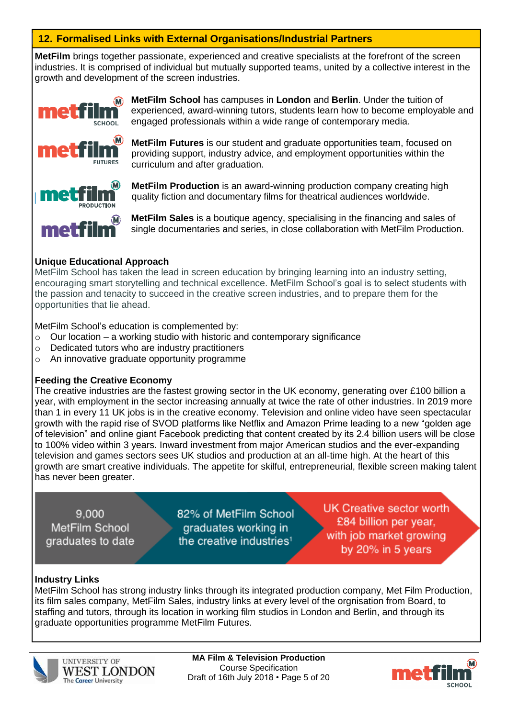# **12. Formalised Links with External Organisations/Industrial Partners**

**MetFilm** brings together passionate, experienced and creative specialists at the forefront of the screen industries. It is comprised of individual but mutually supported teams, united by a collective interest in the growth and development of the screen industries.



**MetFilm School** has campuses in **London** and **Berlin**. Under the tuition of experienced, award-winning tutors, students learn how to become employable and engaged professionals within a wide range of contemporary media.

**MetFilm Futures** is our student and graduate opportunities team, focused on providing support, industry advice, and employment opportunities within the curriculum and after graduation.

**MetFilm Production** is an award-winning production company creating high quality fiction and documentary films for theatrical audiences worldwide.

**MetFilm Sales** is a boutique agency, specialising in the financing and sales of single documentaries and series, in close collaboration with MetFilm Production.

### **Unique Educational Approach**

MetFilm School has taken the lead in screen education by bringing learning into an industry setting, encouraging smart storytelling and technical excellence. MetFilm School's goal is to select students with the passion and tenacity to succeed in the creative screen industries, and to prepare them for the opportunities that lie ahead.

MetFilm School's education is complemented by:

- $\circ$  Our location a working studio with historic and contemporary significance
- o Dedicated tutors who are industry practitioners
- o An innovative graduate opportunity programme

#### **Feeding the Creative Economy**

The creative industries are the fastest growing sector in the UK economy, generating over £100 billion a year, with employment in the sector increasing annually at twice the rate of other industries. In 2019 more than 1 in every 11 UK jobs is in the creative economy. Television and online video have seen spectacular growth with the rapid rise of SVOD platforms like Netflix and Amazon Prime leading to a new "golden age of television" and online giant Facebook predicting that content created by its 2.4 billion users will be close to 100% video within 3 years. Inward investment from major American studios and the ever-expanding television and games sectors sees UK studios and production at an all-time high. At the heart of this growth are smart creative individuals. The appetite for skilful, entrepreneurial, flexible screen making talent has never been greater.

9.000 MetFilm School graduates to date 82% of MetFilm School graduates working in the creative industries<sup>1</sup>

**UK Creative sector worth** £84 billion per year. with job market growing by 20% in 5 years

#### **Industry Links**

MetFilm School has strong industry links through its integrated production company, Met Film Production, its film sales company, MetFilm Sales, industry links at every level of the orgnisation from Board, to staffing and tutors, through its location in working film studios in London and Berlin, and through its graduate opportunities programme MetFilm Futures.



**MA Film & Television Production** Course Specification Draft of 16th July 2018 • Page 5 of 20

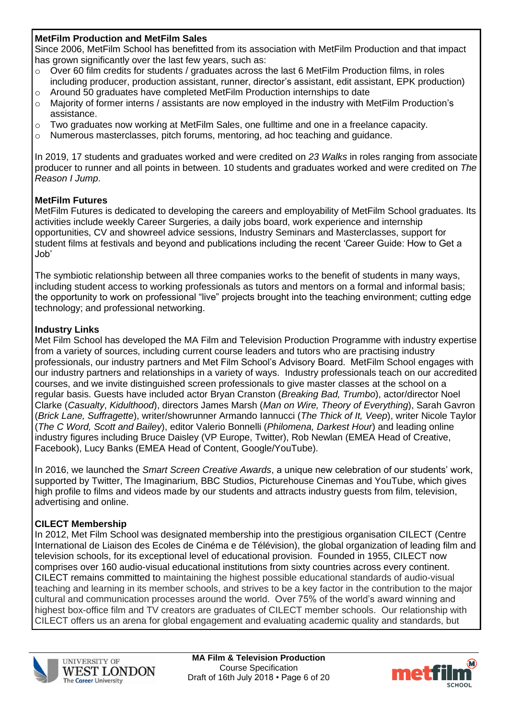### **MetFilm Production and MetFilm Sales**

Since 2006, MetFilm School has benefitted from its association with MetFilm Production and that impact has grown significantly over the last few years, such as:

- o Over 60 film credits for students / graduates across the last 6 MetFilm Production films, in roles including producer, production assistant, runner, director's assistant, edit assistant, EPK production)
- o Around 50 graduates have completed MetFilm Production internships to date
- $\circ$  Majority of former interns / assistants are now employed in the industry with MetFilm Production's assistance.
- $\circ$  Two graduates now working at MetFilm Sales, one fulltime and one in a freelance capacity.
- o Numerous masterclasses, pitch forums, mentoring, ad hoc teaching and guidance.

In 2019, 17 students and graduates worked and were credited on *23 Walks* in roles ranging from associate producer to runner and all points in between. 10 students and graduates worked and were credited on *The Reason I Jump*.

### **MetFilm Futures**

MetFilm Futures is dedicated to developing the careers and employability of MetFilm School graduates. Its activities include weekly Career Surgeries, a daily jobs board, work experience and internship opportunities, CV and showreel advice sessions, Industry Seminars and Masterclasses, support for student films at festivals and beyond and publications including the recent 'Career Guide: How to Get a Job'

The symbiotic relationship between all three companies works to the benefit of students in many ways, including student access to working professionals as tutors and mentors on a formal and informal basis; the opportunity to work on professional "live" projects brought into the teaching environment; cutting edge technology; and professional networking.

# **Industry Links**

Met Film School has developed the MA Film and Television Production Programme with industry expertise from a variety of sources, including current course leaders and tutors who are practising industry professionals, our industry partners and Met Film School's Advisory Board. MetFilm School engages with our industry partners and relationships in a variety of ways. Industry professionals teach on our accredited courses, and we invite distinguished screen professionals to give master classes at the school on a regular basis. Guests have included actor Bryan Cranston (*Breaking Bad, Trumbo*), actor/director Noel Clarke (*Casualty*, *Kidulthood*), directors James Marsh (*Man on Wire, Theory of Everything*), Sarah Gavron (*Brick Lane, Suffragette*), writer/showrunner Armando Iannucci (*The Thick of It, Veep*), writer Nicole Taylor (*The C Word, Scott and Bailey*), editor Valerio Bonnelli (*Philomena, Darkest Hour*) and leading online industry figures including Bruce Daisley (VP Europe, Twitter), Rob Newlan (EMEA Head of Creative, Facebook), Lucy Banks (EMEA Head of Content, Google/YouTube).

In 2016, we launched the *Smart Screen Creative Awards*, a unique new celebration of our students' work, supported by Twitter, The Imaginarium, BBC Studios, Picturehouse Cinemas and YouTube, which gives high profile to films and videos made by our students and attracts industry guests from film, television, advertising and online.

# **CILECT Membership**

In 2012, Met Film School was designated membership into the prestigious organisation CILECT (Centre International de Liaison des Ecoles de Cinéma e de Télévision), the global organization of leading film and television schools, for its exceptional level of educational provision. Founded in 1955, CILECT now comprises over 160 audio-visual educational institutions from sixty countries across every continent. CILECT remains committed to maintaining the highest possible educational standards of audio-visual teaching and learning in its member schools, and strives to be a key factor in the contribution to the major cultural and communication processes around the world. Over 75% of the world's award winning and highest box-office film and TV creators are graduates of CILECT member schools. Our relationship with CILECT offers us an arena for global engagement and evaluating academic quality and standards, but



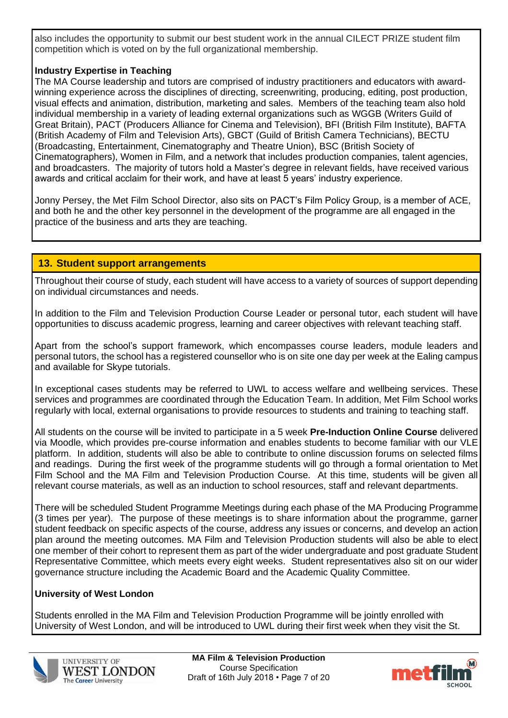also includes the opportunity to submit our best student work in the annual CILECT PRIZE student film competition which is voted on by the full organizational membership.

# **Industry Expertise in Teaching**

The MA Course leadership and tutors are comprised of industry practitioners and educators with awardwinning experience across the disciplines of directing, screenwriting, producing, editing, post production, visual effects and animation, distribution, marketing and sales. Members of the teaching team also hold individual membership in a variety of leading external organizations such as WGGB (Writers Guild of Great Britain), PACT (Producers Alliance for Cinema and Television), BFI (British Film Institute), BAFTA (British Academy of Film and Television Arts), GBCT (Guild of British Camera Technicians), BECTU (Broadcasting, Entertainment, Cinematography and Theatre Union), BSC (British Society of Cinematographers), Women in Film, and a network that includes production companies, talent agencies, and broadcasters. The majority of tutors hold a Master's degree in relevant fields, have received various awards and critical acclaim for their work, and have at least 5 years' industry experience.

Jonny Persey, the Met Film School Director, also sits on PACT's Film Policy Group, is a member of ACE, and both he and the other key personnel in the development of the programme are all engaged in the practice of the business and arts they are teaching.

# **13. Student support arrangements**

Throughout their course of study, each student will have access to a variety of sources of support depending on individual circumstances and needs.

In addition to the Film and Television Production Course Leader or personal tutor, each student will have opportunities to discuss academic progress, learning and career objectives with relevant teaching staff.

Apart from the school's support framework, which encompasses course leaders, module leaders and personal tutors, the school has a registered counsellor who is on site one day per week at the Ealing campus and available for Skype tutorials.

In exceptional cases students may be referred to UWL to access welfare and wellbeing services. These services and programmes are coordinated through the Education Team. In addition, Met Film School works regularly with local, external organisations to provide resources to students and training to teaching staff.

All students on the course will be invited to participate in a 5 week **Pre-Induction Online Course** delivered via Moodle, which provides pre-course information and enables students to become familiar with our VLE platform. In addition, students will also be able to contribute to online discussion forums on selected films and readings. During the first week of the programme students will go through a formal orientation to Met Film School and the MA Film and Television Production Course. At this time, students will be given all relevant course materials, as well as an induction to school resources, staff and relevant departments.

There will be scheduled Student Programme Meetings during each phase of the MA Producing Programme (3 times per year). The purpose of these meetings is to share information about the programme, garner student feedback on specific aspects of the course, address any issues or concerns, and develop an action plan around the meeting outcomes. MA Film and Television Production students will also be able to elect one member of their cohort to represent them as part of the wider undergraduate and post graduate Student Representative Committee, which meets every eight weeks. Student representatives also sit on our wider governance structure including the Academic Board and the Academic Quality Committee.

# **University of West London**

Students enrolled in the MA Film and Television Production Programme will be jointly enrolled with University of West London, and will be introduced to UWL during their first week when they visit the St.



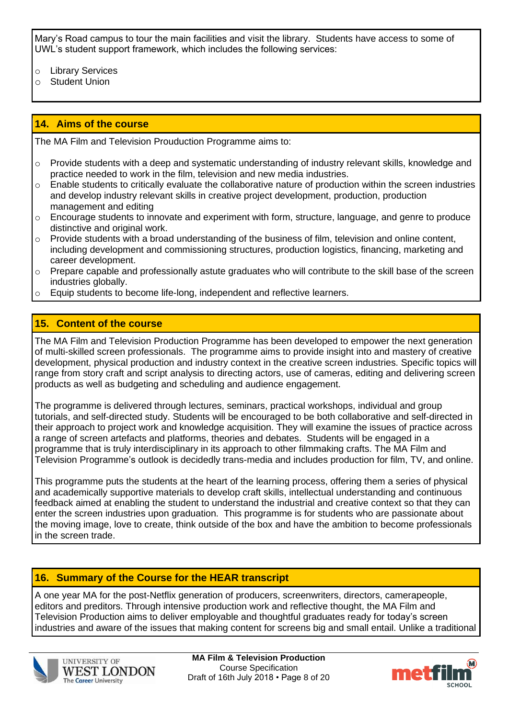Mary's Road campus to tour the main facilities and visit the library. Students have access to some of UWL's student support framework, which includes the following services:

- o Library Services
- o Student Union

# **14. Aims of the course**

The MA Film and Television Prouduction Programme aims to:

- o Provide students with a deep and systematic understanding of industry relevant skills, knowledge and practice needed to work in the film, television and new media industries.
- $\circ$  Enable students to critically evaluate the collaborative nature of production within the screen industries and develop industry relevant skills in creative project development, production, production management and editing
- $\circ$  Encourage students to innovate and experiment with form, structure, language, and genre to produce distinctive and original work.
- $\circ$  Provide students with a broad understanding of the business of film, television and online content, including development and commissioning structures, production logistics, financing, marketing and career development.
- o Prepare capable and professionally astute graduates who will contribute to the skill base of the screen industries globally.
- o Equip students to become life-long, independent and reflective learners.

# **15. Content of the course**

The MA Film and Television Production Programme has been developed to empower the next generation of multi-skilled screen professionals. The programme aims to provide insight into and mastery of creative development, physical production and industry context in the creative screen industries. Specific topics will range from story craft and script analysis to directing actors, use of cameras, editing and delivering screen products as well as budgeting and scheduling and audience engagement.

The programme is delivered through lectures, seminars, practical workshops, individual and group tutorials, and self-directed study. Students will be encouraged to be both collaborative and self-directed in their approach to project work and knowledge acquisition. They will examine the issues of practice across a range of screen artefacts and platforms, theories and debates. Students will be engaged in a programme that is truly interdisciplinary in its approach to other filmmaking crafts. The MA Film and Television Programme's outlook is decidedly trans-media and includes production for film, TV, and online.

This programme puts the students at the heart of the learning process, offering them a series of physical and academically supportive materials to develop craft skills, intellectual understanding and continuous feedback aimed at enabling the student to understand the industrial and creative context so that they can enter the screen industries upon graduation. This programme is for students who are passionate about the moving image, love to create, think outside of the box and have the ambition to become professionals in the screen trade.

# **16. Summary of the Course for the HEAR transcript**

A one year MA for the post-Netflix generation of producers, screenwriters, directors, camerapeople, editors and preditors. Through intensive production work and reflective thought, the MA Film and Television Production aims to deliver employable and thoughtful graduates ready for today's screen industries and aware of the issues that making content for screens big and small entail. Unlike a traditional



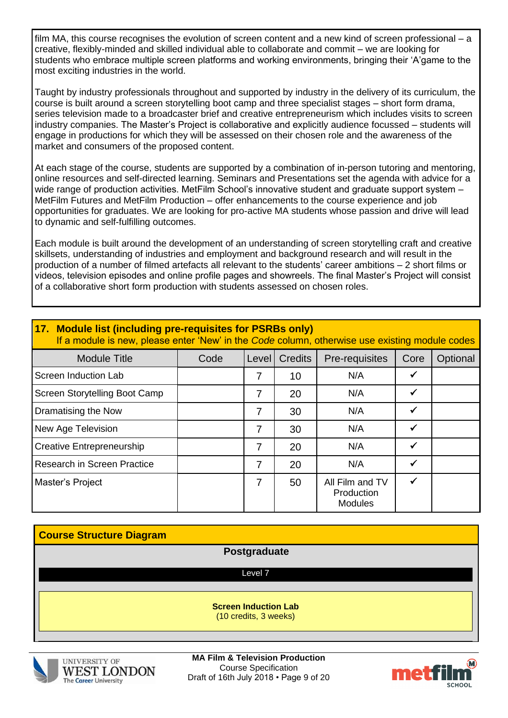film MA, this course recognises the evolution of screen content and a new kind of screen professional – a creative, flexibly-minded and skilled individual able to collaborate and commit – we are looking for students who embrace multiple screen platforms and working environments, bringing their 'A'game to the most exciting industries in the world.

Taught by industry professionals throughout and supported by industry in the delivery of its curriculum, the course is built around a screen storytelling boot camp and three specialist stages – short form drama, series television made to a broadcaster brief and creative entrepreneurism which includes visits to screen industry companies. The Master's Project is collaborative and explicitly audience focussed – students will engage in productions for which they will be assessed on their chosen role and the awareness of the market and consumers of the proposed content.

At each stage of the course, students are supported by a combination of in-person tutoring and mentoring, online resources and self-directed learning. Seminars and Presentations set the agenda with advice for a wide range of production activities. MetFilm School's innovative student and graduate support system – MetFilm Futures and MetFilm Production – offer enhancements to the course experience and job opportunities for graduates. We are looking for pro-active MA students whose passion and drive will lead to dynamic and self-fulfilling outcomes.

Each module is built around the development of an understanding of screen storytelling craft and creative skillsets, understanding of industries and employment and background research and will result in the production of a number of filmed artefacts all relevant to the students' career ambitions – 2 short films or videos, television episodes and online profile pages and showreels. The final Master's Project will consist of a collaborative short form production with students assessed on chosen roles.

| 17. Module list (including pre-requisites for PSRBs only)<br>If a module is new, please enter 'New' in the Code column, otherwise use existing module codes |      |       |                |                                                 |              |          |
|-------------------------------------------------------------------------------------------------------------------------------------------------------------|------|-------|----------------|-------------------------------------------------|--------------|----------|
| <b>Module Title</b>                                                                                                                                         | Code | Level | <b>Credits</b> | Pre-requisites                                  | Core         | Optional |
| Screen Induction Lab                                                                                                                                        |      | 7     | 10             | N/A                                             | $\checkmark$ |          |
| Screen Storytelling Boot Camp                                                                                                                               |      | 7     | 20             | N/A                                             | ✓            |          |
| Dramatising the Now                                                                                                                                         |      | 7     | 30             | N/A                                             | $\checkmark$ |          |
| New Age Television                                                                                                                                          |      | 7     | 30             | N/A                                             | $\checkmark$ |          |
| <b>Creative Entrepreneurship</b>                                                                                                                            |      | 7     | 20             | N/A                                             | ✓            |          |
| <b>Research in Screen Practice</b>                                                                                                                          |      | 7     | 20             | N/A                                             | ✓            |          |
| Master's Project                                                                                                                                            |      | 7     | 50             | All Film and TV<br>Production<br><b>Modules</b> | ✓            |          |

| <b>Course Structure Diagram</b> |                                                      |  |
|---------------------------------|------------------------------------------------------|--|
|                                 | Postgraduate                                         |  |
|                                 | Level 7                                              |  |
|                                 | <b>Screen Induction Lab</b><br>(10 credits, 3 weeks) |  |



**MA Film & Television Production** Course Specification Draft of 16th July 2018 • Page 9 of 20

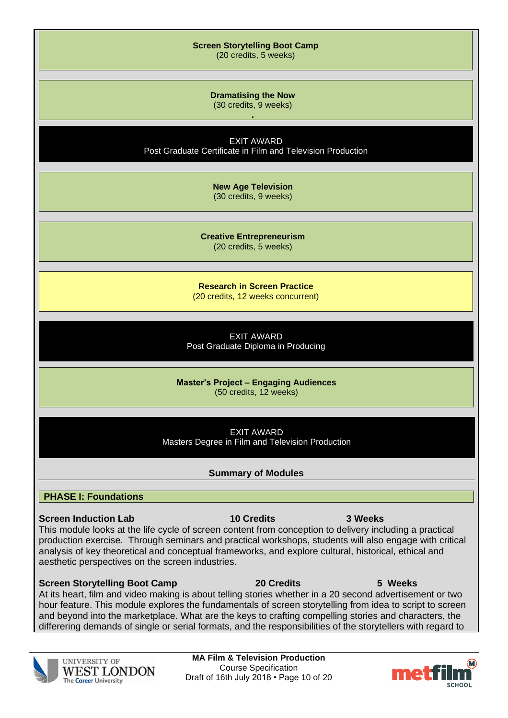| <b>Screen Storytelling Boot Camp</b><br>(20 credits, 5 weeks)                                                                                                                                                                                                                                                                                                                                                                                |
|----------------------------------------------------------------------------------------------------------------------------------------------------------------------------------------------------------------------------------------------------------------------------------------------------------------------------------------------------------------------------------------------------------------------------------------------|
| <b>Dramatising the Now</b><br>(30 credits, 9 weeks)                                                                                                                                                                                                                                                                                                                                                                                          |
| <b>EXIT AWARD</b><br>Post Graduate Certificate in Film and Television Production                                                                                                                                                                                                                                                                                                                                                             |
| <b>New Age Television</b><br>(30 credits, 9 weeks)                                                                                                                                                                                                                                                                                                                                                                                           |
| <b>Creative Entrepreneurism</b><br>(20 credits, 5 weeks)                                                                                                                                                                                                                                                                                                                                                                                     |
| <b>Research in Screen Practice</b><br>(20 credits, 12 weeks concurrent)                                                                                                                                                                                                                                                                                                                                                                      |
| <b>EXIT AWARD</b><br>Post Graduate Diploma in Producing                                                                                                                                                                                                                                                                                                                                                                                      |
| <b>Master's Project - Engaging Audiences</b><br>(50 credits, 12 weeks)                                                                                                                                                                                                                                                                                                                                                                       |
| <b>EXIT AWARD</b><br>Masters Degree in Film and Television Production                                                                                                                                                                                                                                                                                                                                                                        |
| <b>Summary of Modules</b>                                                                                                                                                                                                                                                                                                                                                                                                                    |
| <b>PHASE I: Foundations</b>                                                                                                                                                                                                                                                                                                                                                                                                                  |
| <b>10 Credits</b><br><b>Screen Induction Lab</b><br>3 Weeks<br>This module looks at the life cycle of screen content from conception to delivery including a practical<br>production exercise. Through seminars and practical workshops, students will also engage with critical<br>analysis of key theoretical and conceptual frameworks, and explore cultural, historical, ethical and<br>aesthetic perspectives on the screen industries. |
| <b>20 Credits</b><br><b>Screen Storytelling Boot Camp</b><br>5 Weeks<br>At its heart, film and video making is about telling stories whether in a 20 second advertisement or two<br>hour feature. This module explores the fundamentals of screen storytelling from idea to script to screen                                                                                                                                                 |

hour feature. This module explores the fundamentals of screen storytelling from idea to script to screen and beyond into the marketplace. What are the keys to crafting compelling stories and characters, the differering demands of single or serial formats, and the responsibilities of the storytellers with regard to



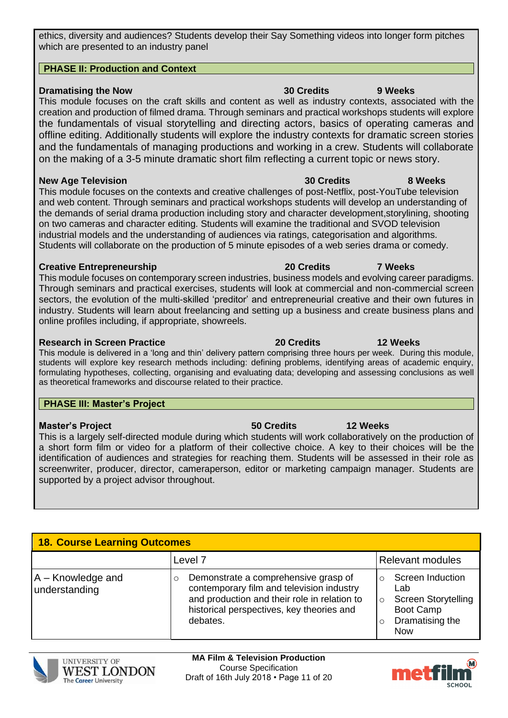ethics, diversity and audiences? Students develop their Say Something videos into longer form pitches which are presented to an industry panel

#### **PHASE II: Production and Context**

#### **Dramatising the Now 30 Credits 9 Weeks**

This module focuses on the craft skills and content as well as industry contexts, associated with the creation and production of filmed drama. Through seminars and practical workshops students will explore the fundamentals of visual storytelling and directing actors, basics of operating cameras and offline editing. Additionally students will explore the industry contexts for dramatic screen stories and the fundamentals of managing productions and working in a crew. Students will collaborate on the making of a 3-5 minute dramatic short film reflecting a current topic or news story.

#### **New Age Television 30 Credits 8 Weeks**

This module focuses on the contexts and creative challenges of post-Netflix, post-YouTube television and web content. Through seminars and practical workshops students will develop an understanding of the demands of serial drama production including story and character development,storylining, shooting on two cameras and character editing. Students will examine the traditional and SVOD television industrial models and the understanding of audiences via ratings, categorisation and algorithms. Students will collaborate on the production of 5 minute episodes of a web series drama or comedy.

#### **Creative Entrepreneurship 20 Credits 7 Weeks**

This module focuses on contemporary screen industries, business models and evolving career paradigms. Through seminars and practical exercises, students will look at commercial and non-commercial screen sectors, the evolution of the multi-skilled 'preditor' and entrepreneurial creative and their own futures in industry. Students will learn about freelancing and setting up a business and create business plans and online profiles including, if appropriate, showreels.

#### **Research in Screen Practice 20 Credits 12 Weeks**

This module is delivered in a 'long and thin' delivery pattern comprising three hours per week. During this module, students will explore key research methods including: defining problems, identifying areas of academic enquiry, formulating hypotheses, collecting, organising and evaluating data; developing and assessing conclusions as well as theoretical frameworks and discourse related to their practice.

#### **PHASE III: Master's Project**

#### **Master's Project 50 Credits 12 Weeks**

This is a largely self-directed module during which students will work collaboratively on the production of a short form film or video for a platform of their collective choice. A key to their choices will be the identification of audiences and strategies for reaching them. Students will be assessed in their role as screenwriter, producer, director, cameraperson, editor or marketing campaign manager. Students are supported by a project advisor throughout.

# **18. Course Learning Outcomes**

|                                      | Level <sub>7</sub>                                                                                                                                                                         | Relevant modules                                                                                               |  |
|--------------------------------------|--------------------------------------------------------------------------------------------------------------------------------------------------------------------------------------------|----------------------------------------------------------------------------------------------------------------|--|
| $A -$ Knowledge and<br>understanding | Demonstrate a comprehensive grasp of<br>contemporary film and television industry<br>and production and their role in relation to<br>historical perspectives, key theories and<br>debates. | Screen Induction<br>Lab<br><b>Screen Storytelling</b><br>$\circ$<br>Boot Camp<br>Dramatising the<br><b>Now</b> |  |



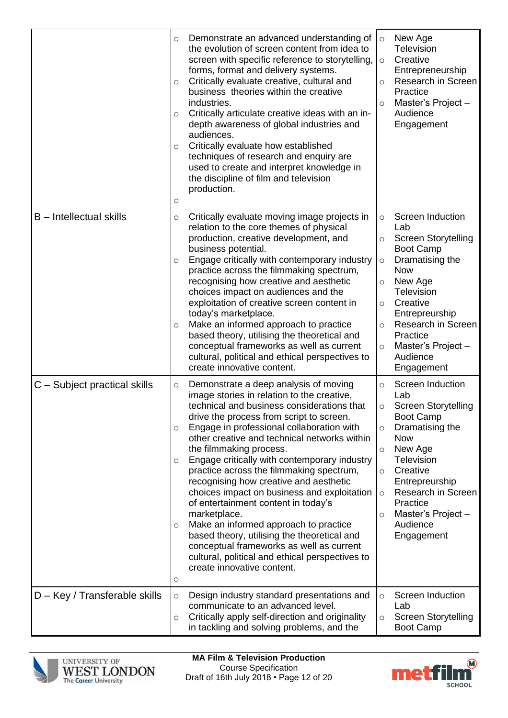|                                 | Demonstrate an advanced understanding of<br>$\circ$<br>the evolution of screen content from idea to<br>screen with specific reference to storytelling,<br>forms, format and delivery systems.<br>Critically evaluate creative, cultural and<br>O<br>business theories within the creative<br>industries.<br>Critically articulate creative ideas with an in-<br>O<br>depth awareness of global industries and<br>audiences.<br>Critically evaluate how established<br>$\circ$<br>techniques of research and enquiry are<br>used to create and interpret knowledge in<br>the discipline of film and television<br>production.<br>$\circ$                                                                                                                                                                     | New Age<br>$\circ$<br>Television<br>Creative<br>$\circ$<br>Entrepreneurship<br>Research in Screen<br>$\circ$<br>Practice<br>Master's Project -<br>$\circ$<br>Audience<br>Engagement                                                                                                                                       |
|---------------------------------|-------------------------------------------------------------------------------------------------------------------------------------------------------------------------------------------------------------------------------------------------------------------------------------------------------------------------------------------------------------------------------------------------------------------------------------------------------------------------------------------------------------------------------------------------------------------------------------------------------------------------------------------------------------------------------------------------------------------------------------------------------------------------------------------------------------|---------------------------------------------------------------------------------------------------------------------------------------------------------------------------------------------------------------------------------------------------------------------------------------------------------------------------|
| <b>B</b> - Intellectual skills  | Critically evaluate moving image projects in<br>$\circ$<br>relation to the core themes of physical<br>production, creative development, and<br>business potential.<br>Engage critically with contemporary industry<br>O<br>practice across the filmmaking spectrum,<br>recognising how creative and aesthetic<br>choices impact on audiences and the<br>exploitation of creative screen content in<br>today's marketplace.<br>Make an informed approach to practice<br>$\circ$<br>based theory, utilising the theoretical and<br>conceptual frameworks as well as current<br>cultural, political and ethical perspectives to<br>create innovative content.                                                                                                                                                  | <b>Screen Induction</b><br>$\circ$<br>Lab<br><b>Screen Storytelling</b><br>O<br><b>Boot Camp</b><br>Dramatising the<br>$\circ$<br><b>Now</b><br>New Age<br>O<br>Television<br>Creative<br>$\circ$<br>Entrepreurship<br>Research in Screen<br>O<br>Practice<br>Master's Project -<br>$\circ$<br>Audience<br>Engagement     |
| $ C -$ Subject practical skills | Demonstrate a deep analysis of moving<br>O<br>image stories in relation to the creative,<br>technical and business considerations that<br>drive the process from script to screen.<br>Engage in professional collaboration with<br>$\circ$<br>other creative and technical networks within<br>the filmmaking process.<br>Engage critically with contemporary industry<br>O<br>practice across the filmmaking spectrum,<br>recognising how creative and aesthetic<br>choices impact on business and exploitation<br>of entertainment content in today's<br>marketplace.<br>Make an informed approach to practice<br>$\circ$<br>based theory, utilising the theoretical and<br>conceptual frameworks as well as current<br>cultural, political and ethical perspectives to<br>create innovative content.<br>O | Screen Induction<br>$\circ$<br>Lab<br><b>Screen Storytelling</b><br>O<br><b>Boot Camp</b><br>Dramatising the<br>$\circ$<br><b>Now</b><br>New Age<br>$\circ$<br>Television<br>Creative<br>$\circ$<br>Entrepreurship<br>Research in Screen<br>$\circ$<br>Practice<br>Master's Project-<br>$\circ$<br>Audience<br>Engagement |
| $D - Key / Transferable skills$ | Design industry standard presentations and<br>$\circ$<br>communicate to an advanced level.<br>Critically apply self-direction and originality<br>$\circ$<br>in tackling and solving problems, and the                                                                                                                                                                                                                                                                                                                                                                                                                                                                                                                                                                                                       | Screen Induction<br>$\circ$<br>Lab<br><b>Screen Storytelling</b><br>$\circ$<br><b>Boot Camp</b>                                                                                                                                                                                                                           |



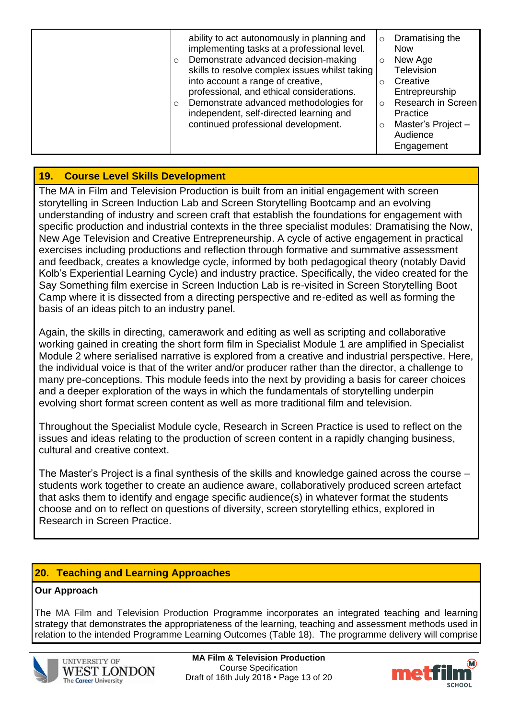| ability to act autonomously in planning and<br>implementing tasks at a professional level.        | $\circ$ | Dramatising the<br><b>Now</b> |
|---------------------------------------------------------------------------------------------------|---------|-------------------------------|
| Demonstrate advanced decision-making<br>$\circ$<br>skills to resolve complex issues whilst taking | $\circ$ | New Age<br>Television         |
| into account a range of creative,                                                                 | Ω       | Creative                      |
| professional, and ethical considerations.                                                         |         | Entrepreurship                |
| Demonstrate advanced methodologies for<br>$\circ$                                                 | $\circ$ | Research in Screen            |
| independent, self-directed learning and                                                           |         | Practice                      |
| continued professional development.                                                               | O       | Master's Project-             |
|                                                                                                   |         | Audience                      |
|                                                                                                   |         | Engagement                    |

# **19. Course Level Skills Development**

The MA in Film and Television Production is built from an initial engagement with screen storytelling in Screen Induction Lab and Screen Storytelling Bootcamp and an evolving understanding of industry and screen craft that establish the foundations for engagement with specific production and industrial contexts in the three specialist modules: Dramatising the Now, New Age Television and Creative Entrepreneurship. A cycle of active engagement in practical exercises including productions and reflection through formative and summative assessment and feedback, creates a knowledge cycle, informed by both pedagogical theory (notably David Kolb's Experiential Learning Cycle) and industry practice. Specifically, the video created for the Say Something film exercise in Screen Induction Lab is re-visited in Screen Storytelling Boot Camp where it is dissected from a directing perspective and re-edited as well as forming the basis of an ideas pitch to an industry panel.

Again, the skills in directing, camerawork and editing as well as scripting and collaborative working gained in creating the short form film in Specialist Module 1 are amplified in Specialist Module 2 where serialised narrative is explored from a creative and industrial perspective. Here, the individual voice is that of the writer and/or producer rather than the director, a challenge to many pre-conceptions. This module feeds into the next by providing a basis for career choices and a deeper exploration of the ways in which the fundamentals of storytelling underpin evolving short format screen content as well as more traditional film and television.

Throughout the Specialist Module cycle, Research in Screen Practice is used to reflect on the issues and ideas relating to the production of screen content in a rapidly changing business, cultural and creative context.

The Master's Project is a final synthesis of the skills and knowledge gained across the course – students work together to create an audience aware, collaboratively produced screen artefact that asks them to identify and engage specific audience(s) in whatever format the students choose and on to reflect on questions of diversity, screen storytelling ethics, explored in Research in Screen Practice.

# **20. Teaching and Learning Approaches**

# **Our Approach**

The MA Film and Television Production Programme incorporates an integrated teaching and learning strategy that demonstrates the appropriateness of the learning, teaching and assessment methods used in relation to the intended Programme Learning Outcomes (Table 18). The programme delivery will comprise



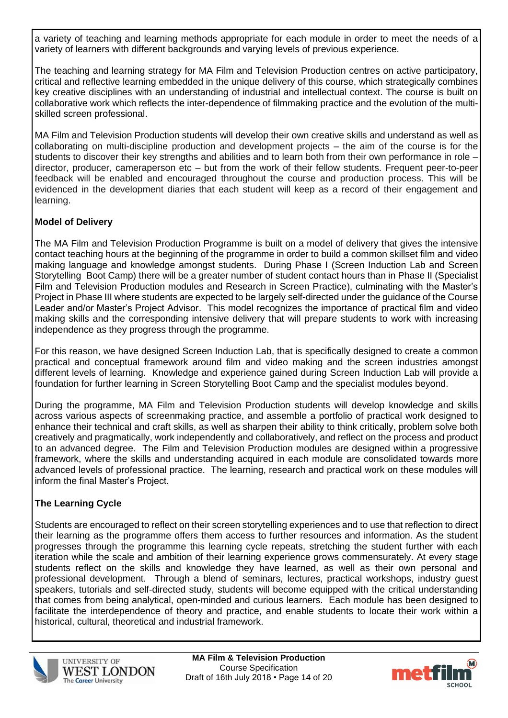a variety of teaching and learning methods appropriate for each module in order to meet the needs of a variety of learners with different backgrounds and varying levels of previous experience.

The teaching and learning strategy for MA Film and Television Production centres on active participatory, critical and reflective learning embedded in the unique delivery of this course, which strategically combines key creative disciplines with an understanding of industrial and intellectual context. The course is built on collaborative work which reflects the inter-dependence of filmmaking practice and the evolution of the multiskilled screen professional.

MA Film and Television Production students will develop their own creative skills and understand as well as collaborating on multi-discipline production and development projects – the aim of the course is for the students to discover their key strengths and abilities and to learn both from their own performance in role – director, producer, cameraperson etc – but from the work of their fellow students. Frequent peer-to-peer feedback will be enabled and encouraged throughout the course and production process. This will be evidenced in the development diaries that each student will keep as a record of their engagement and learning.

# **Model of Delivery**

The MA Film and Television Production Programme is built on a model of delivery that gives the intensive contact teaching hours at the beginning of the programme in order to build a common skillset film and video making language and knowledge amongst students. During Phase I (Screen Induction Lab and Screen Storytelling Boot Camp) there will be a greater number of student contact hours than in Phase II (Specialist Film and Television Production modules and Research in Screen Practice), culminating with the Master's Project in Phase III where students are expected to be largely self-directed under the guidance of the Course Leader and/or Master's Project Advisor. This model recognizes the importance of practical film and video making skills and the corresponding intensive delivery that will prepare students to work with increasing independence as they progress through the programme.

For this reason, we have designed Screen Induction Lab, that is specifically designed to create a common practical and conceptual framework around film and video making and the screen industries amongst different levels of learning. Knowledge and experience gained during Screen Induction Lab will provide a foundation for further learning in Screen Storytelling Boot Camp and the specialist modules beyond.

During the programme, MA Film and Television Production students will develop knowledge and skills across various aspects of screenmaking practice, and assemble a portfolio of practical work designed to enhance their technical and craft skills, as well as sharpen their ability to think critically, problem solve both creatively and pragmatically, work independently and collaboratively, and reflect on the process and product to an advanced degree. The Film and Television Production modules are designed within a progressive framework, where the skills and understanding acquired in each module are consolidated towards more advanced levels of professional practice. The learning, research and practical work on these modules will inform the final Master's Project.

# **The Learning Cycle**

Students are encouraged to reflect on their screen storytelling experiences and to use that reflection to direct their learning as the programme offers them access to further resources and information. As the student progresses through the programme this learning cycle repeats, stretching the student further with each iteration while the scale and ambition of their learning experience grows commensurately. At every stage students reflect on the skills and knowledge they have learned, as well as their own personal and professional development. Through a blend of seminars, lectures, practical workshops, industry guest speakers, tutorials and self-directed study, students will become equipped with the critical understanding that comes from being analytical, open-minded and curious learners. Each module has been designed to facilitate the interdependence of theory and practice, and enable students to locate their work within a historical, cultural, theoretical and industrial framework.



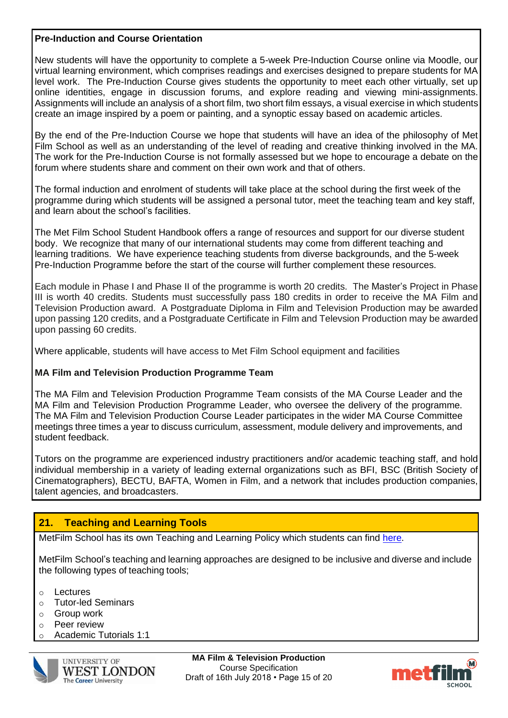#### **Pre-Induction and Course Orientation**

New students will have the opportunity to complete a 5-week Pre-Induction Course online via Moodle, our virtual learning environment, which comprises readings and exercises designed to prepare students for MA level work. The Pre-Induction Course gives students the opportunity to meet each other virtually, set up online identities, engage in discussion forums, and explore reading and viewing mini-assignments. Assignments will include an analysis of a short film, two short film essays, a visual exercise in which students create an image inspired by a poem or painting, and a synoptic essay based on academic articles.

By the end of the Pre-Induction Course we hope that students will have an idea of the philosophy of Met Film School as well as an understanding of the level of reading and creative thinking involved in the MA. The work for the Pre-Induction Course is not formally assessed but we hope to encourage a debate on the forum where students share and comment on their own work and that of others.

The formal induction and enrolment of students will take place at the school during the first week of the programme during which students will be assigned a personal tutor, meet the teaching team and key staff, and learn about the school's facilities.

The Met Film School Student Handbook offers a range of resources and support for our diverse student body. We recognize that many of our international students may come from different teaching and learning traditions. We have experience teaching students from diverse backgrounds, and the 5-week Pre-Induction Programme before the start of the course will further complement these resources.

Each module in Phase I and Phase II of the programme is worth 20 credits. The Master's Project in Phase III is worth 40 credits. Students must successfully pass 180 credits in order to receive the MA Film and Television Production award. A Postgraduate Diploma in Film and Television Production may be awarded upon passing 120 credits, and a Postgraduate Certificate in Film and Televsion Production may be awarded upon passing 60 credits.

Where applicable, students will have access to Met Film School equipment and facilities

# **MA Film and Television Production Programme Team**

The MA Film and Television Production Programme Team consists of the MA Course Leader and the MA Film and Television Production Programme Leader, who oversee the delivery of the programme. The MA Film and Television Production Course Leader participates in the wider MA Course Committee meetings three times a year to discuss curriculum, assessment, module delivery and improvements, and student feedback.

Tutors on the programme are experienced industry practitioners and/or academic teaching staff, and hold individual membership in a variety of leading external organizations such as BFI, BSC (British Society of Cinematographers), BECTU, BAFTA, Women in Film, and a network that includes production companies, talent agencies, and broadcasters.

# **21. Teaching and Learning Tools**

MetFilm School has its own Teaching and Learning Policy which students can find [here.](https://moodle.metfilmschool.ac.uk/moodle/pluginfile.php/48261/mod_resource/content/5/MetFilm_School_teaching%20and%20learning%20policy%20.pdf)

MetFilm School's teaching and learning approaches are designed to be inclusive and diverse and include the following types of teaching tools;

- o Lectures
- o Tutor-led Seminars
- o Group work
- o Peer review
- o Academic Tutorials 1:1



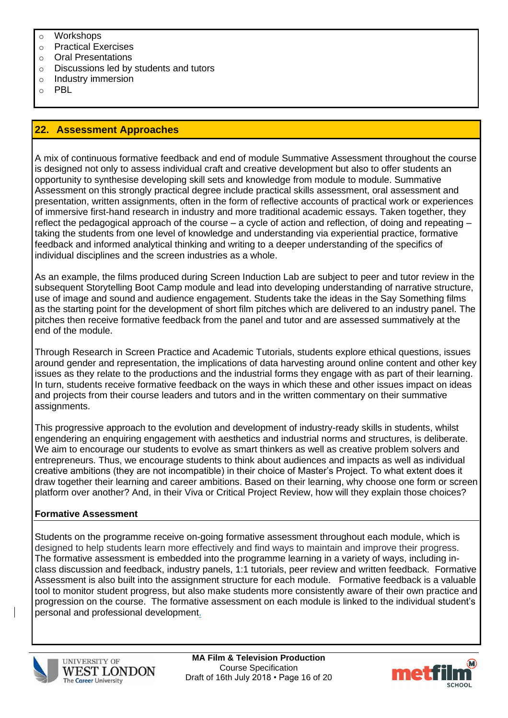- o Workshops
- o Practical Exercises
- o Oral Presentations
- o Discussions led by students and tutors
- o Industry immersion
- o PBL

#### **22. Assessment Approaches**

A mix of continuous formative feedback and end of module Summative Assessment throughout the course is designed not only to assess individual craft and creative development but also to offer students an opportunity to synthesise developing skill sets and knowledge from module to module. Summative Assessment on this strongly practical degree include practical skills assessment, oral assessment and presentation, written assignments, often in the form of reflective accounts of practical work or experiences of immersive first-hand research in industry and more traditional academic essays. Taken together, they reflect the pedagogical approach of the course – a cycle of action and reflection, of doing and repeating – taking the students from one level of knowledge and understanding via experiential practice, formative feedback and informed analytical thinking and writing to a deeper understanding of the specifics of individual disciplines and the screen industries as a whole.

As an example, the films produced during Screen Induction Lab are subject to peer and tutor review in the subsequent Storytelling Boot Camp module and lead into developing understanding of narrative structure, use of image and sound and audience engagement. Students take the ideas in the Say Something films as the starting point for the development of short film pitches which are delivered to an industry panel. The pitches then receive formative feedback from the panel and tutor and are assessed summatively at the end of the module.

Through Research in Screen Practice and Academic Tutorials, students explore ethical questions, issues around gender and representation, the implications of data harvesting around online content and other key issues as they relate to the productions and the industrial forms they engage with as part of their learning. In turn, students receive formative feedback on the ways in which these and other issues impact on ideas and projects from their course leaders and tutors and in the written commentary on their summative assignments.

This progressive approach to the evolution and development of industry-ready skills in students, whilst engendering an enquiring engagement with aesthetics and industrial norms and structures, is deliberate. We aim to encourage our students to evolve as smart thinkers as well as creative problem solvers and entrepreneurs. Thus, we encourage students to think about audiences and impacts as well as individual creative ambitions (they are not incompatible) in their choice of Master's Project. To what extent does it draw together their learning and career ambitions. Based on their learning, why choose one form or screen platform over another? And, in their Viva or Critical Project Review, how will they explain those choices?

#### **Formative Assessment**

Students on the programme receive on-going formative assessment throughout each module, which is designed to help students learn more effectively and find ways to maintain and improve their progress. The formative assessment is embedded into the programme learning in a variety of ways, including inclass discussion and feedback, industry panels, 1:1 tutorials, peer review and written feedback. Formative Assessment is also built into the assignment structure for each module. Formative feedback is a valuable tool to monitor student progress, but also make students more consistently aware of their own practice and progression on the course. The formative assessment on each module is linked to the individual student's personal and professional development.



**MA Film & Television Production** Course Specification Draft of 16th July 2018 • Page 16 of 20

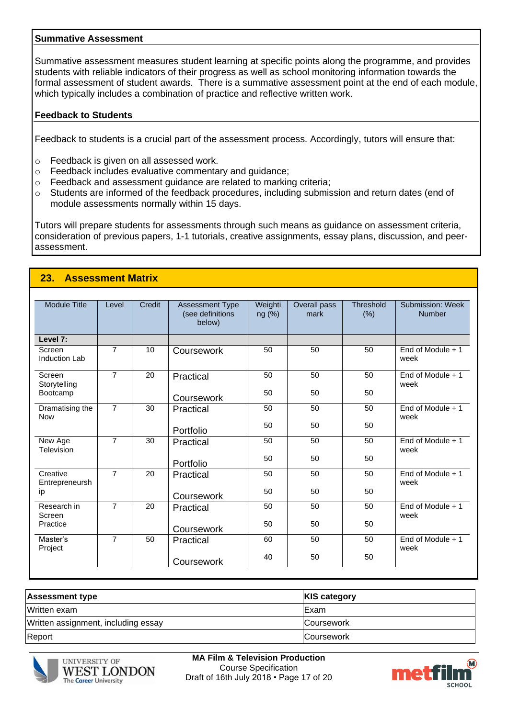#### **Summative Assessment**

Summative assessment measures student learning at specific points along the programme, and provides students with reliable indicators of their progress as well as school monitoring information towards the formal assessment of student awards. There is a summative assessment point at the end of each module, which typically includes a combination of practice and reflective written work.

#### **Feedback to Students**

**23. Assessment Matrix**

Feedback to students is a crucial part of the assessment process. Accordingly, tutors will ensure that:

- o Feedback is given on all assessed work.
- o Feedback includes evaluative commentary and guidance;
- o Feedback and assessment guidance are related to marking criteria;
- o Students are informed of the feedback procedures, including submission and return dates (end of module assessments normally within 15 days.

Tutors will prepare students for assessments through such means as guidance on assessment criteria, consideration of previous papers, 1-1 tutorials, creative assignments, essay plans, discussion, and peerassessment.

| <b>Module Title</b>           | Level          | Credit | <b>Assessment Type</b><br>(see definitions<br>below) | Weighti<br>ng (%) | Overall pass<br>mark | <b>Threshold</b><br>(% ) | Submission: Week<br><b>Number</b> |
|-------------------------------|----------------|--------|------------------------------------------------------|-------------------|----------------------|--------------------------|-----------------------------------|
| Level 7:                      |                |        |                                                      |                   |                      |                          |                                   |
| Screen<br>Induction Lab       | $\overline{7}$ | 10     | Coursework                                           | 50                | 50                   | 50                       | End of Module $+1$<br>week        |
| Screen<br>Storytelling        | $\overline{7}$ | 20     | Practical                                            | 50                | 50                   | 50                       | End of Module $+1$<br>week        |
| Bootcamp                      |                |        | Coursework                                           | 50                | 50                   | 50                       |                                   |
| Dramatising the<br><b>Now</b> | $\overline{7}$ | 30     | Practical                                            | 50                | 50                   | 50                       | End of Module $+1$<br>week        |
|                               |                |        | Portfolio                                            | 50                | 50                   | 50                       |                                   |
| New Age<br>Television         | $\overline{7}$ | 30     | Practical                                            | 50                | 50                   | 50                       | End of Module $+1$<br>week        |
|                               |                |        | Portfolio                                            | 50                | 50                   | 50                       |                                   |
| Creative<br>Entrepreneursh    | $\overline{7}$ | 20     | Practical                                            | 50                | 50                   | 50                       | End of Module $+1$<br>week        |
| ip                            |                |        | Coursework                                           | 50                | 50                   | 50                       |                                   |
| Research in<br>Screen         | $\overline{7}$ | 20     | Practical                                            | 50                | 50                   | 50                       | End of Module + 1<br>week         |
| Practice                      |                |        | Coursework                                           | 50                | 50                   | 50                       |                                   |
| Master's<br>Project           | $\overline{7}$ | 50     | Practical                                            | 60                | 50                   | 50                       | End of Module $+1$<br>week        |
|                               |                |        | Coursework                                           | 40                | 50                   | 50                       |                                   |

| <b>Assessment type</b>              | <b>KIS category</b> |
|-------------------------------------|---------------------|
| Written exam                        | IExam               |
| Written assignment, including essay | <b>Coursework</b>   |
| Report                              | <b>Coursework</b>   |



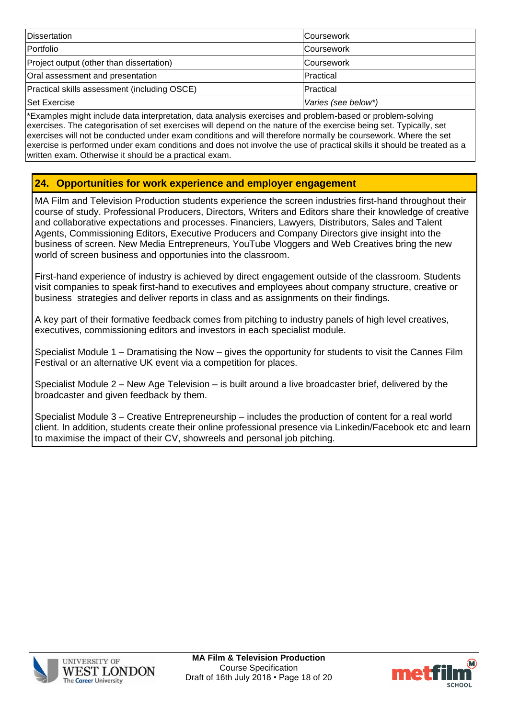| <b>Dissertation</b>                          | <b>Coursework</b>   |
|----------------------------------------------|---------------------|
| Portfolio                                    | <b>Coursework</b>   |
| Project output (other than dissertation)     | <b>Coursework</b>   |
| Oral assessment and presentation             | <b>IPractical</b>   |
| Practical skills assessment (including OSCE) | Practical           |
| <b>Set Exercise</b>                          | Varies (see below*) |

\*Examples might include data interpretation, data analysis exercises and problem-based or problem-solving exercises. The categorisation of set exercises will depend on the nature of the exercise being set. Typically, set exercises will not be conducted under exam conditions and will therefore normally be coursework. Where the set exercise is performed under exam conditions and does not involve the use of practical skills it should be treated as a written exam. Otherwise it should be a practical exam.

# **24. Opportunities for work experience and employer engagement**

MA Film and Television Production students experience the screen industries first-hand throughout their course of study. Professional Producers, Directors, Writers and Editors share their knowledge of creative and collaborative expectations and processes. Financiers, Lawyers, Distributors, Sales and Talent Agents, Commissioning Editors, Executive Producers and Company Directors give insight into the business of screen. New Media Entrepreneurs, YouTube Vloggers and Web Creatives bring the new world of screen business and opportunies into the classroom.

First-hand experience of industry is achieved by direct engagement outside of the classroom. Students visit companies to speak first-hand to executives and employees about company structure, creative or business strategies and deliver reports in class and as assignments on their findings.

A key part of their formative feedback comes from pitching to industry panels of high level creatives, executives, commissioning editors and investors in each specialist module.

Specialist Module 1 – Dramatising the Now – gives the opportunity for students to visit the Cannes Film Festival or an alternative UK event via a competition for places.

Specialist Module 2 – New Age Television – is built around a live broadcaster brief, delivered by the broadcaster and given feedback by them.

Specialist Module 3 – Creative Entrepreneurship – includes the production of content for a real world client. In addition, students create their online professional presence via Linkedin/Facebook etc and learn to maximise the impact of their CV, showreels and personal job pitching.





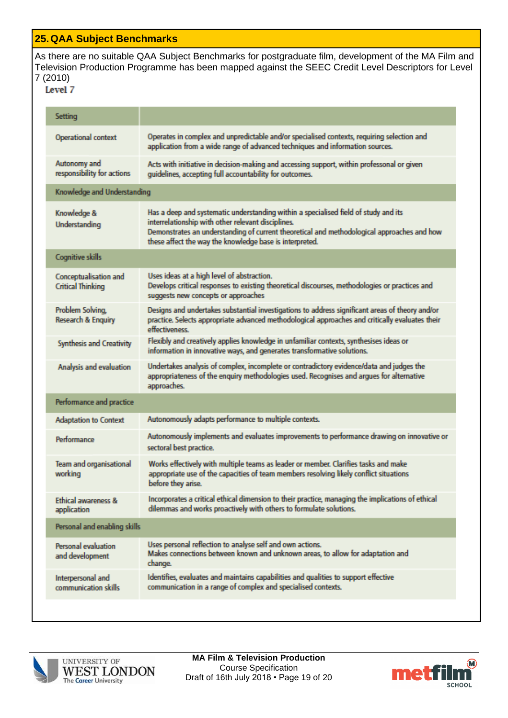### **25.QAA Subject Benchmarks**

As there are no suitable QAA Subject Benchmarks for postgraduate film, development of the MA Film and Television Production Programme has been mapped against the SEEC Credit Level Descriptors for Level 7 (2010)

| Setting                                           |                                                                                                                                                                                                                                                                                                    |  |  |
|---------------------------------------------------|----------------------------------------------------------------------------------------------------------------------------------------------------------------------------------------------------------------------------------------------------------------------------------------------------|--|--|
| <b>Operational context</b>                        | Operates in complex and unpredictable and/or specialised contexts, requiring selection and<br>application from a wide range of advanced techniques and information sources.                                                                                                                        |  |  |
| Autonomy and<br>responsibility for actions        | Acts with initiative in decision-making and accessing support, within professonal or given<br>guidelines, accepting full accountability for outcomes.                                                                                                                                              |  |  |
| Knowledge and Understanding                       |                                                                                                                                                                                                                                                                                                    |  |  |
| Knowledge &<br>Understanding                      | Has a deep and systematic understanding within a specialised field of study and its<br>interrelationship with other relevant disciplines.<br>Demonstrates an understanding of current theoretical and methodological approaches and how<br>these affect the way the knowledge base is interpreted. |  |  |
| <b>Cognitive skills</b>                           |                                                                                                                                                                                                                                                                                                    |  |  |
| Conceptualisation and<br><b>Critical Thinking</b> | Uses ideas at a high level of abstraction.<br>Develops critical responses to existing theoretical discourses, methodologies or practices and<br>suggests new concepts or approaches                                                                                                                |  |  |
| Problem Solving,<br><b>Research &amp; Enquiry</b> | Designs and undertakes substantial investigations to address significant areas of theory and/or<br>practice. Selects appropriate advanced methodological approaches and critically evaluates their<br>effectiveness.                                                                               |  |  |
| <b>Synthesis and Creativity</b>                   | Flexibly and creatively applies knowledge in unfamiliar contexts, synthesises ideas or<br>information in innovative ways, and generates transformative solutions.                                                                                                                                  |  |  |
| Analysis and evaluation                           | Undertakes analysis of complex, incomplete or contradictory evidence/data and judges the<br>appropriateness of the enquiry methodologies used. Recognises and argues for alternative<br>approaches.                                                                                                |  |  |
| Performance and practice                          |                                                                                                                                                                                                                                                                                                    |  |  |
| <b>Adaptation to Context</b>                      | Autonomously adapts performance to multiple contexts.                                                                                                                                                                                                                                              |  |  |
| Performance                                       | Autonomously implements and evaluates improvements to performance drawing on innovative or<br>sectoral best practice.                                                                                                                                                                              |  |  |
| Team and organisational<br>working                | Works effectively with multiple teams as leader or member. Clarifies tasks and make<br>appropriate use of the capacities of team members resolving likely conflict situations<br>before they arise.                                                                                                |  |  |
| <b>Ethical awareness &amp;</b><br>application     | Incorporates a critical ethical dimension to their practice, managing the implications of ethical<br>dilemmas and works proactively with others to formulate solutions.                                                                                                                            |  |  |
| Personal and enabling skills                      |                                                                                                                                                                                                                                                                                                    |  |  |
| Personal evaluation<br>and development            | Uses personal reflection to analyse self and own actions.<br>Makes connections between known and unknown areas, to allow for adaptation and<br>change.                                                                                                                                             |  |  |
| Interpersonal and<br>communication skills         | Identifies, evaluates and maintains capabilities and qualities to support effective<br>communication in a range of complex and specialised contexts.                                                                                                                                               |  |  |